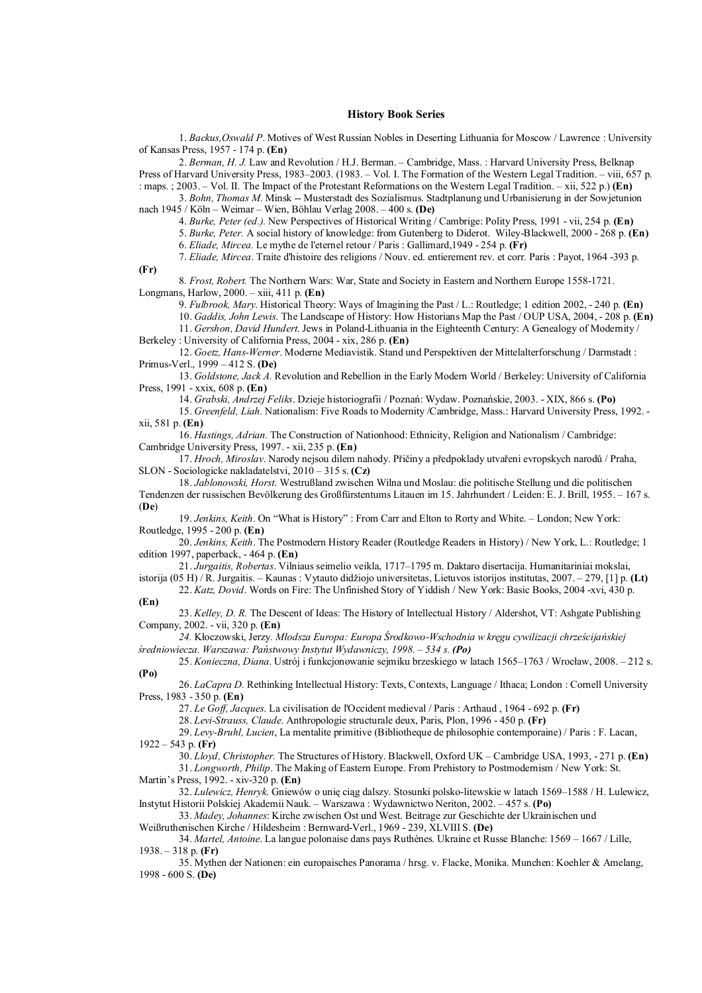## **History Book Series**

1. *Backus,Oswald P*. Motives of West Russian Nobles in Deserting Lithuania for Moscow / Lawrence : University of Kansas Press, 1957 - 174 p. **(En)** 

2. *Berman, H. J.* Law and Revolution / H.J. Berman. – Cambridge, Mass. : Harvard University Press, Belknap Press of Harvard University Press, 1983–2003. (1983. – Vol. I. The Formation of the Western Legal Tradition. – viii, 657 p. : maps. ; 2003. – Vol. II. The Impact of the Protestant Reformations on the Western Legal Tradition. – xii, 522 p.) **(En)** 

3. *Bohn, Thomas M.* Minsk -- Musterstadt des Sozialismus. Stadtplanung und Urbanisierung in der Sowjetunion nach 1945 / Köln – Weimar – Wien, Böhlau Verlag 2008. – 400 s. **(De)** 

4. *Burke, Peter (ed.).* New Perspectives of Historical Writing / Cambrige: Polity Press, 1991 - vii, 254 p. **(En)** 

5. *Burke, Peter.* A social history of knowledge: from Gutenberg to Diderot. Wiley-Blackwell, 2000 - 268 p. **(En)**

6. *Eliade, Mircea.* Le mythe de l'eternel retour / Paris : Gallimard,1949 - 254 p. **(Fr)** 

7. *Eliade, Mircea*. Traite d'histoire des religions / Nouv. ed. entierement rev. et corr. Paris : Payot, 1964 -393 p.

8*. Frost, Robert.* The Northern Wars: War, State and Society in Eastern and Northern Europe 1558-1721. Longmans, Harlow, 2000. – xiii, 411 p. **(En)**

9. *Fulbrook, Mary*. Historical Theory: Ways of Imagining the Past / L.: Routledge; 1 edition 2002, - 240 p. **(En)** 

10. *Gaddis, John Lewis*. The Landscape of History: How Historians Map the Past / OUP USA, 2004, - 208 p. **(En)**  11. *Gershon, David Hundert*. Jews in Poland-Lithuania in the Eighteenth Century: A Genealogy of Modernity /

Berkeley : University of California Press, 2004 - xix, 286 p. **(En)** 

**(Fr)** 

12. *Goetz, Hans-Werner*. Moderne Mediavistik. Stand und Perspektiven der Mittelalterforschung / Darmstadt : Primus-Verl., 1999 – 412 S. **(De)** 

13. *Goldstone, Jack A.* Revolution and Rebellion in the Early Modern World / Berkeley: University of California Press, 1991 - xxix, 608 p. **(En)** 

14. *Grabski, Andrzej Feliks*. Dzieje historiografii / Poznań: Wydaw. Poznańskie, 2003. - XIX, 866 s. **(Po)** 

15. *Greenfeld, Liah.* Nationalism: Five Roads to Modernity /Cambridge, Mass.: Harvard University Press, 1992. xii, 581 p. **(En)** 

16. *Hastings, Adrian.* The Construction of Nationhood: Ethnicity, Religion and Nationalism / Cambridge: Cambridge University Press, 1997. - xii, 235 p. **(En)** 

17. *Hroch, Miroslav*. Narody nejsou dilem nahody. Přičiny a předpoklady utvařeni evropskych narodů / Praha, SLON - Sociologicke nakladatelstvi, 2010 – 315 s. **(Cz)** 

18. *Jablonowski, Horst*. Westrußland zwischen Wilna und Moslau: die politische Stellung und die politischen Tendenzen der russischen Bevölkerung des Großfürstentums Litauen im 15. Jahrhundert / Leiden: E. J. Brill, 1955. – 167 s. (**De**)

19. *Jenkins, Keith*. On "What is History" : From Carr and Elton to Rorty and White. – London; New York: Routledge, 1995 - 200 p. **(En)** 

20. *Jenkins, Keith*. The Postmodern History Reader (Routledge Readers in History) / New York, L.: Routledge; 1 edition 1997, paperback, - 464 p. **(En)** 

21. *Jurgaitis, Robertas*. Vilniaus seimelio veikla, 1717–1795 m. Daktaro disertacija. Humanitariniai mokslai, istorija (05 H) / R. Jurgaitis. – Kaunas : Vytauto didžiojo universitetas, Lietuvos istorijos institutas, 2007. – 279, [1] p. **(Lt)** 

22. *Katz, Dovid*. Words on Fire: The Unfinished Story of Yiddish / New York: Basic Books, 2004 -xvi, 430 p. **(En)** 

23. *Kelley, D. R.* The Descent of Ideas: The History of Intellectual History / Aldershot, VT: Ashgate Publishing Company, 2002. - vii, 320 p. **(En)** 

*24.* Kłoczowski, Jerzy*. Młodsza Europa: Europa Środkowo-Wschodnia w kręgu cywilizacji chrześcijańskiej średniowiecza. Warszawa: Państwowy Instytut Wydawniczy, 1998. – 534 s. (Po)* 

25. *Konieczna, Diana*. Ustrój i funkcjonowanie sejmiku brzeskiego w latach 1565–1763 / Wrocław, 2008. – 212 s. **(Po)** 

26. *LaCapra D.* Rethinking Intellectual History: Texts, Contexts, Language / Ithaca; London : Cornell University Press, 1983 - 350 p. **(En)** 

27. *Le Goff, Jacques*. La civilisation de l'Occident medieval / Paris : Arthaud , 1964 - 692 p. **(Fr)** 

28. *Levi-Strauss, Claude.* Anthropologie structurale deux, Paris, Plon, 1996 - 450 p. **(Fr)** 

29. *Levy-Bruhl, Lucien*, La mentalite primitive (Bibliotheque de philosophie contemporaine) / Paris : F. Lacan, 1922 – 543 p. **(Fr)** 

30. *Lloyd, Christopher.* The Structures of History. Blackwell, Oxford UK – Cambridge USA, 1993, - 271 p. **(En)** 

31. *Longworth, Philip*. The Making of Eastern Europe. From Prehistory to Postmodernism / New York: St. Martin's Press, 1992. - xiv-320 p. **(En)** 

32. *Lulewicz, Henryk*. Gniewów o unię ciąg dalszy. Stosunki polsko-litewskie w latach 1569–1588 / H. Lulewicz, Instytut Historii Polskiej Akademii Nauk. – Warszawa : Wydawnictwo Neriton, 2002. – 457 s. **(Po)** 

33. *Madey, Johannes*: Kirche zwischen Ost und West. Beitrage zur Geschichte der Ukrainischen und Weißruthenischen Kirche / Hildesheim : Bernward-Verl., 1969 - 239, XLVIII S. **(De)** 

34. *Martel, Antoine*. La langue polonaise dans pays Ruthènes. Ukraine et Russe Blanche: 1569 – 1667 / Lille, 1938. – 318 p. **(Fr)** 

35. Mythen der Nationen: ein europaisches Panorama / hrsg. v. Flacke, Monika. Munchen: Koehler & Amelang, 1998 - 600 S. **(De)**